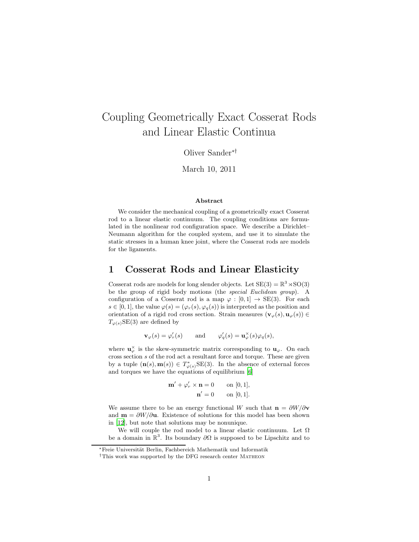# Coupling Geometrically Exact Cosserat Rods and Linear Elastic Continua

Oliver Sander∗†

March 10, 2011

#### Abstract

We consider the mechanical coupling of a geometrically exact Cosserat rod to a linear elastic continuum. The coupling conditions are formulated in the nonlinear rod configuration space. We describe a Dirichlet– Neumann algorithm for the coupled system, and use it to simulate the static stresses in a human knee joint, where the Cosserat rods are models for the ligaments.

#### 1 Cosserat Rods and Linear Elasticity

Cosserat rods are models for long slender objects. Let  $SE(3) = \mathbb{R}^3 \times SO(3)$ be the group of rigid body motions (the special Euclidean group). A configuration of a Cosserat rod is a map  $\varphi : [0,1] \to SE(3)$ . For each  $s \in [0, 1]$ , the value  $\varphi(s) = (\varphi_r(s), \varphi_q(s))$  is interpreted as the position and orientation of a rigid rod cross section. Strain measures  $(\mathbf{v}_{\varphi}(s), \mathbf{u}_{\varphi}(s)) \in$  $T_{\varphi(s)}\text{SE}(3)$  are defined by

 $\mathbf{v}_{\varphi}(s) = \varphi'_r(s)$  and  $\varphi'_q(s) = \mathbf{u}_{\varphi}^{\times}(s)\varphi_q(s),$ 

where  $\mathbf{u}_{\varphi}^{\times}$  is the skew-symmetric matrix corresponding to  $\mathbf{u}_{\varphi}$ . On each cross section  $s$  of the rod act a resultant force and torque. These are given by a tuple  $(\mathbf{n}(s), \mathbf{m}(s)) \in T^*_{\varphi(s)} \text{SE}(3)$ . In the absence of external forces and torques we have the equations of equilibrium [\[6\]](#page-7-0)

$$
\mathbf{m}' + \varphi'_r \times \mathbf{n} = 0 \qquad \text{on } [0, 1],
$$

$$
\mathbf{n}' = 0 \qquad \text{on } [0, 1].
$$

We assume there to be an energy functional W such that  $\mathbf{n} = \frac{\partial W}{\partial \mathbf{v}}$ and  $\mathbf{m} = \partial W/\partial \mathbf{u}$ . Existence of solutions for this model has been shown in [\[12](#page-7-1)], but note that solutions may be nonunique.

We will couple the rod model to a linear elastic continuum. Let  $\Omega$ be a domain in  $\mathbb{R}^3$ . Its boundary  $\partial\Omega$  is supposed to be Lipschitz and to

<sup>∗</sup>Freie Universit¨at Berlin, Fachbereich Mathematik und Informatik

<sup>†</sup>This work was supported by the DFG research center Matheon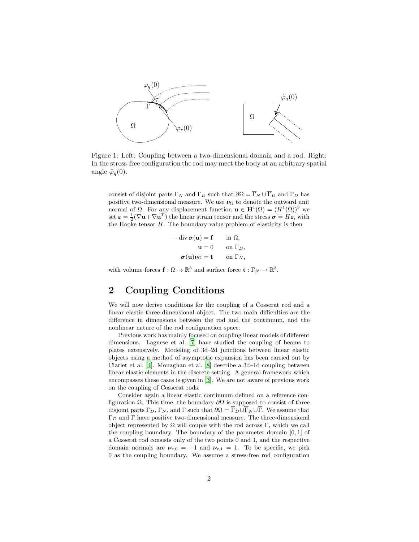

<span id="page-1-0"></span>Figure 1: Left: Coupling between a two-dimensional domain and a rod. Right: In the stress-free configuration the rod may meet the body at an arbitrary spatial angle  $\hat{\varphi}_q(0)$ .

consist of disjoint parts  $\Gamma_N$  and  $\Gamma_D$  such that  $\partial\Omega = \overline{\Gamma}_N \cup \overline{\Gamma}_D$  and  $\Gamma_D$  has positive two-dimensional measure. We use  $\nu_{\Omega}$  to denote the outward unit normal of Ω. For any displacement function  $\mathbf{u} \in \mathbf{H}^1(\Omega) = (H^1(\Omega))^3$  we set  $\varepsilon = \frac{1}{2}(\nabla \mathbf{u} + \nabla \mathbf{u}^T)$  the linear strain tensor and the stress  $\boldsymbol{\sigma} = H \boldsymbol{\varepsilon}$ , with the Hooke tensor  $H$ . The boundary value problem of elasticity is then

> $-$  div  $\sigma(\mathbf{u}) = \mathbf{f}$  in  $\Omega$ ,  $\mathbf{u} = 0$  on  $\Gamma_D$ ,  $\sigma(\mathbf{u})\nu_{\Omega}=\mathbf{t} \qquad \text{on }\Gamma_N,$

with volume forces  $\mathbf{f}: \Omega \to \mathbb{R}^3$  and surface force  $\mathbf{t}: \Gamma_N \to \mathbb{R}^3$ .

# 2 Coupling Conditions

We will now derive conditions for the coupling of a Cosserat rod and a linear elastic three-dimensional object. The two main difficulties are the difference in dimensions between the rod and the continuum, and the nonlinear nature of the rod configuration space.

Previous work has mainly focused on coupling linear models of different dimensions. Lagnese et al. [\[7\]](#page-7-2) have studied the coupling of beams to plates extensively. Modeling of 3d–2d junctions between linear elastic objects using a method of asymptotic expansion has been carried out by Ciarlet et al. [\[4](#page-6-0)]. Monaghan et al. [\[8](#page-7-3)] describe a 3d–1d coupling between linear elastic elements in the discrete setting. A general framework which encompasses these cases is given in [\[3](#page-6-1)]. We are not aware of previous work on the coupling of Cosserat rods.

Consider again a linear elastic continuum defined on a reference configuration  $\Omega$ . This time, the boundary  $\partial\Omega$  is supposed to consist of three disjoint parts  $\Gamma_D$ ,  $\Gamma_N$ , and  $\Gamma$  such that  $\partial\Omega = \overline{\Gamma}_D \cup \overline{\Gamma}_N \cup \overline{\Gamma}$ . We assume that  $\Gamma_D$  and  $\Gamma$  have positive two-dimensional measure. The three-dimensional object represented by  $\Omega$  will couple with the rod across Γ, which we call the coupling boundary. The boundary of the parameter domain [0, 1] of a Cosserat rod consists only of the two points 0 and 1, and the respective domain normals are  $v_{r,0} = -1$  and  $v_{r,1} = 1$ . To be specific, we pick 0 as the coupling boundary. We assume a stress-free rod configuration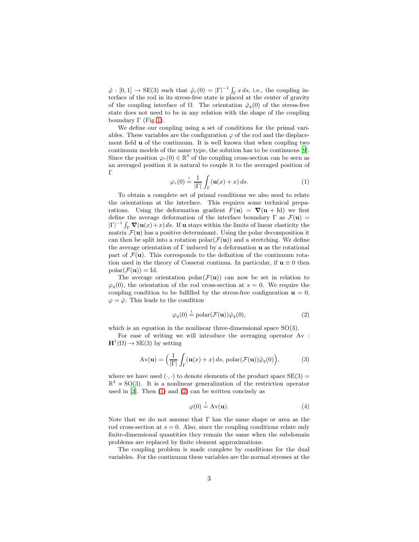$\hat{\varphi} : [0,1] \to \text{SE}(3)$  such that  $\hat{\varphi}_r(0) = |\Gamma|^{-1} \int_{\Gamma} x \, ds$ , i.e., the coupling interface of the rod in its stress-free state is placed at the center of gravity of the coupling interface of  $\Omega$ . The orientation  $\hat{\varphi}_q(0)$  of the stress-free state does not need to be in any relation with the shape of the coupling boundary  $\Gamma$  (Fig. [1\)](#page-1-0).

We define our coupling using a set of conditions for the primal variables. These variables are the configuration  $\varphi$  of the rod and the displacement field u of the continuum. It is well known that when coupling two continuum models of the same type, the solution has to be continuous [\[9](#page-7-4)]. Since the position  $\varphi_r(0) \in \mathbb{R}^3$  of the coupling cross-section can be seen as an averaged position it is natural to couple it to the averaged position of Γ

<span id="page-2-0"></span>
$$
\varphi_r(0) \stackrel{!}{=} \frac{1}{|\Gamma|} \int_{\Gamma} (\mathbf{u}(x) + x) \, ds. \tag{1}
$$

To obtain a complete set of primal conditions we also need to relate the orientations at the interface. This requires some technical preparations. Using the deformation gradient  $F(\mathbf{u}) = \nabla(\mathbf{u} + \mathrm{Id})$  we first define the average deformation of the interface boundary  $\Gamma$  as  $\mathcal{F}(\mathbf{u}) =$  $|\Gamma|^{-1} \int_{\Gamma} \mathbf{\nabla}(\mathbf{u}(x) + x) ds$ . If **u** stays within the limits of linear elasticity the matrix  $\mathcal{F}(\mathbf{u})$  has a positive determinant. Using the polar decomposition it can then be split into a rotation polar $(\mathcal{F}(\mathbf{u}))$  and a stretching. We define the average orientation of  $\Gamma$  induced by a deformation **u** as the rotational part of  $\mathcal{F}(\mathbf{u})$ . This corresponds to the definition of the continuum rotation used in the theory of Cosserat continua. In particular, if  $u \equiv 0$  then  $polar(\mathcal{F}(\mathbf{u})) = \mathrm{Id}.$ 

The average orientation polar $(\mathcal{F}(\mathbf{u}))$  can now be set in relation to  $\varphi_q(0)$ , the orientation of the rod cross-section at  $s = 0$ . We require the coupling condition to be fulfilled by the stress-free configuration  $\mathbf{u} = 0$ ,  $\varphi = \hat{\varphi}$ . This leads to the condition

<span id="page-2-1"></span>
$$
\varphi_q(0) \stackrel{!}{=} \text{polar}(\mathcal{F}(\mathbf{u})) \hat{\varphi}_q(0),\tag{2}
$$

which is an equation in the nonlinear three-dimensional space  $SO(3)$ .

For ease of writing we will introduce the averaging operator Av :  $\mathbf{H}^1(\Omega) \to \text{SE}(3)$  by setting

<span id="page-2-3"></span>
$$
Av(\mathbf{u}) = \left(\frac{1}{|\Gamma|} \int_{\Gamma} (\mathbf{u}(x) + x) ds, \text{ polar}(\mathcal{F}(\mathbf{u})) \hat{\varphi}_q(0)\right),\tag{3}
$$

where we have used  $(\cdot, \cdot)$  to denote elements of the product space  $SE(3)$  =  $\mathbb{R}^3 \rtimes SO(3)$ . It is a nonlinear generalization of the restriction operator used in  $[3]$ . Then  $(1)$  and  $(2)$  can be written concisely as

<span id="page-2-2"></span>
$$
\varphi(0) \stackrel{!}{=} Av(\mathbf{u}).\tag{4}
$$

Note that we do not assume that Γ has the same shape or area as the rod cross-section at  $s = 0$ . Also, since the coupling conditions relate only finite-dimensional quantities they remain the same when the subdomain problems are replaced by finite element approximations.

The coupling problem is made complete by conditions for the dual variables. For the continuum these variables are the normal stresses at the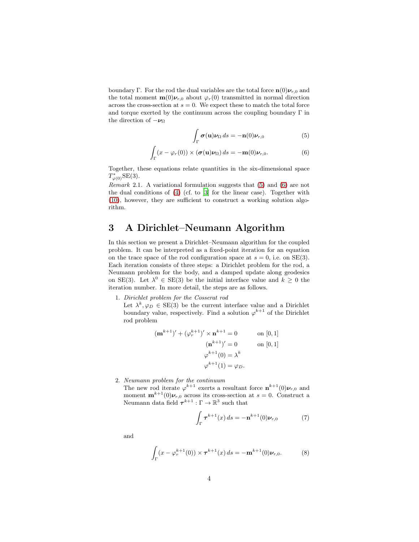boundary Γ. For the rod the dual variables are the total force  $\mathbf{n}(0)\boldsymbol{\nu}_{r,0}$  and the total moment  $\mathbf{m}(0)\nu_{r,0}$  about  $\varphi_r(0)$  transmitted in normal direction across the cross-section at  $s = 0$ . We expect these to match the total force and torque exerted by the continuum across the coupling boundary  $\Gamma$  in the direction of  $-\nu_{\Omega}$ 

<span id="page-3-1"></span><span id="page-3-0"></span>
$$
\int_{\Gamma} \boldsymbol{\sigma}(\mathbf{u}) \boldsymbol{\nu}_{\Omega} ds = -\mathbf{n}(0) \boldsymbol{\nu}_{r,0} \tag{5}
$$

$$
\int_{\Gamma} (x - \varphi_r(0)) \times (\boldsymbol{\sigma}(\mathbf{u}) \boldsymbol{\nu}_{\Omega}) ds = -\mathbf{m}(0) \boldsymbol{\nu}_{r,0}.
$$
 (6)

Together, these equations relate quantities in the six-dimensional space  $T^*_{\varphi(0)}$ SE(3).

Remark 2.1. A variational formulation suggests that [\(5\)](#page-3-0) and [\(6\)](#page-3-1) are not the dual conditions of [\(4\)](#page-2-2) (cf. to [\[3](#page-6-1)] for the linear case). Together with [\(10\)](#page-4-0), however, they are sufficient to construct a working solution algorithm.

## <span id="page-3-4"></span>3 A Dirichlet–Neumann Algorithm

In this section we present a Dirichlet–Neumann algorithm for the coupled problem. It can be interpreted as a fixed-point iteration for an equation on the trace space of the rod configuration space at  $s = 0$ , i.e. on SE(3). Each iteration consists of three steps: a Dirichlet problem for the rod, a Neumann problem for the body, and a damped update along geodesics on SE(3). Let  $\lambda^0 \in SE(3)$  be the initial interface value and  $k \geq 0$  the iteration number. In more detail, the steps are as follows.

1. Dirichlet problem for the Cosserat rod

Let  $\lambda^k, \varphi_D \in \text{SE}(3)$  be the current interface value and a Dirichlet boundary value, respectively. Find a solution  $\varphi^{k+1}$  of the Dirichlet rod problem

$$
(\mathbf{m}^{k+1})' + (\varphi_r^{k+1})' \times \mathbf{n}^{k+1} = 0 \qquad \text{on } [0, 1]
$$

$$
(\mathbf{n}^{k+1})' = 0 \qquad \text{on } [0, 1]
$$

$$
\varphi^{k+1}(0) = \lambda^k
$$

$$
\varphi^{k+1}(1) = \varphi_D.
$$

2. Neumann problem for the continuum

The new rod iterate  $\varphi^{k+1}$  exerts a resultant force  $\mathbf{n}^{k+1}(0)\boldsymbol{\nu}_{r,0}$  and moment  $\mathbf{m}^{k+1}(0)\boldsymbol{\nu}_{r,0}$  across its cross-section at  $s=0$ . Construct a Neumann data field  $\boldsymbol{\tau}^{k+1} : \Gamma \to \mathbb{R}^3$  such that

<span id="page-3-3"></span><span id="page-3-2"></span>
$$
\int_{\Gamma} \boldsymbol{\tau}^{k+1}(x) \, ds = -\mathbf{n}^{k+1}(0) \boldsymbol{\nu}_{r,0} \tag{7}
$$

and

$$
\int_{\Gamma} (x - \varphi_r^{k+1}(0)) \times \boldsymbol{\tau}^{k+1}(x) ds = -\mathbf{m}^{k+1}(0) \nu_{r,0}.
$$
 (8)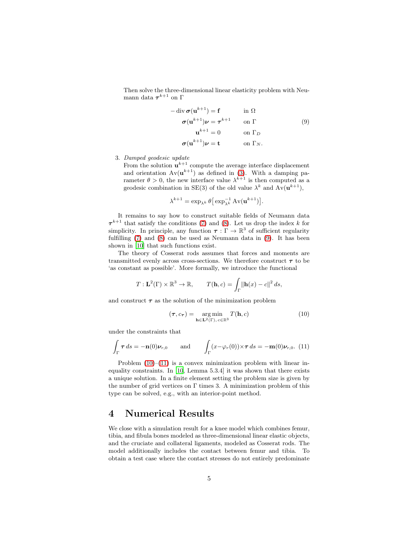Then solve the three-dimensional linear elasticity problem with Neumann data  $\boldsymbol{\tau}^{k+1}$  on  $\boldsymbol{\Gamma}$ 

$$
-\operatorname{div} \sigma(\mathbf{u}^{k+1}) = \mathbf{f} \qquad \text{in } \Omega
$$

$$
\sigma(\mathbf{u}^{k+1})\nu = \tau^{k+1} \qquad \text{on } \Gamma \tag{9}
$$

$$
\mathbf{u}^{k+1} = 0 \qquad \text{on } \Gamma_D
$$

$$
\sigma(\mathbf{u}^{k+1})\nu = \mathbf{t} \qquad \text{on } \Gamma_N.
$$

<span id="page-4-1"></span>.

3. Damped geodesic update

From the solution  $\mathbf{u}^{k+1}$  compute the average interface displacement and orientation  $Av(\mathbf{u}^{k+1})$  as defined in [\(3\)](#page-2-3). With a damping parameter  $\theta > 0$ , the new interface value  $\lambda^{k+1}$  is then computed as a geodesic combination in SE(3) of the old value  $\lambda^k$  and  $Av(\mathbf{u}^{k+1}),$ 

$$
\lambda^{k+1} = \exp_{\lambda^k} \theta \big[ \exp_{\lambda^k}^{-1} \mathrm{Av}(\mathbf{u}^{k+1}) \big]
$$

It remains to say how to construct suitable fields of Neumann data  $\tau^{k+1}$  that satisfy the conditions [\(7\)](#page-3-2) and [\(8\)](#page-3-3). Let us drop the index k for simplicity. In principle, any function  $\tau : \Gamma \to \mathbb{R}^3$  of sufficient regularity fulfilling [\(7\)](#page-3-2) and [\(8\)](#page-3-3) can be used as Neumann data in [\(9\)](#page-4-1). It has been shown in [\[10](#page-7-5)] that such functions exist.

The theory of Cosserat rods assumes that forces and moments are transmitted evenly across cross-sections. We therefore construct  $\tau$  to be 'as constant as possible'. More formally, we introduce the functional

$$
T: \mathbf{L}^{2}(\Gamma) \times \mathbb{R}^{3} \to \mathbb{R}, \qquad T(\mathbf{h}, c) = \int_{\Gamma} \|\mathbf{h}(x) - c\|^{2} ds,
$$

and construct  $\tau$  as the solution of the minimization problem

<span id="page-4-0"></span>
$$
(\tau, c_{\tau}) = \underset{\mathbf{h} \in \mathbf{L}^2(\Gamma), c \in \mathbb{R}^3}{\arg \min} T(\mathbf{h}, c)
$$
 (10)

under the constraints that

<span id="page-4-2"></span>
$$
\int_{\Gamma} \boldsymbol{\tau} \, ds = -\mathbf{n}(0)\boldsymbol{\nu}_{r,0} \quad \text{and} \quad \int_{\Gamma} (x - \varphi_r(0)) \times \boldsymbol{\tau} \, ds = -\mathbf{m}(0)\boldsymbol{\nu}_{r,0}. \tag{11}
$$

Problem  $(10)$ – $(11)$  is a convex minimization problem with linear inequality constraints. In [\[10,](#page-7-5) Lemma 5.3.4] it was shown that there exists a unique solution. In a finite element setting the problem size is given by the number of grid vertices on  $\Gamma$  times 3. A minimization problem of this type can be solved, e.g., with an interior-point method.

#### 4 Numerical Results

We close with a simulation result for a knee model which combines femur, tibia, and fibula bones modeled as three-dimensional linear elastic objects, and the cruciate and collateral ligaments, modeled as Cosserat rods. The model additionally includes the contact between femur and tibia. To obtain a test case where the contact stresses do not entirely predominate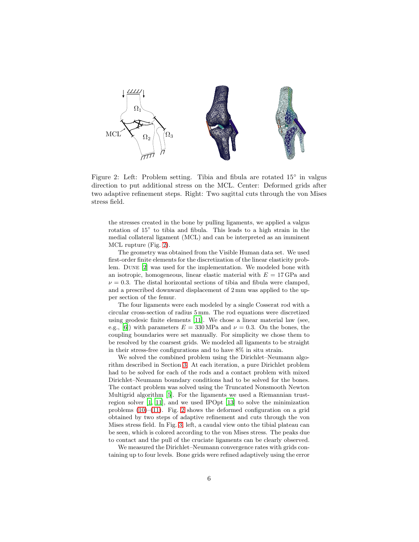

<span id="page-5-0"></span>Figure 2: Left: Problem setting. Tibia and fibula are rotated 15° in valgus direction to put additional stress on the MCL. Center: Deformed grids after two adaptive refinement steps. Right: Two sagittal cuts through the von Mises stress field.

the stresses created in the bone by pulling ligaments, we applied a valgus rotation of  $15°$  to tibia and fibula. This leads to a high strain in the medial collateral ligament (MCL) and can be interpreted as an imminent MCL rupture (Fig. [2\)](#page-5-0).

The geometry was obtained from the Visible Human data set. We used first-order finite elements for the discretization of the linear elasticity problem. Dune [\[2](#page-6-2)] was used for the implementation. We modeled bone with an isotropic, homogeneous, linear elastic material with  $E = 17 \text{ GPa}$  and  $\nu = 0.3$ . The distal horizontal sections of tibia and fibula were clamped, and a prescribed downward displacement of 2 mm was applied to the upper section of the femur.

The four ligaments were each modeled by a single Cosserat rod with a circular cross-section of radius 5 mm. The rod equations were discretized using geodesic finite elements [\[11](#page-7-6)]. We chose a linear material law (see, e.g., [\[6\]](#page-7-0)) with parameters  $E = 330 \text{ MPa}$  and  $\nu = 0.3$ . On the bones, the coupling boundaries were set manually. For simplicity we chose them to be resolved by the coarsest grids. We modeled all ligaments to be straight in their stress-free configurations and to have 8% in situ strain.

We solved the combined problem using the Dirichlet–Neumann algorithm described in Section [3.](#page-3-4) At each iteration, a pure Dirichlet problem had to be solved for each of the rods and a contact problem with mixed Dirichlet–Neumann boundary conditions had to be solved for the bones. The contact problem was solved using the Truncated Nonsmooth Newton Multigrid algorithm [\[5\]](#page-6-3). For the ligaments we used a Riemannian trustregion solver [\[1](#page-6-4), [11\]](#page-7-6), and we used IPOpt [\[13](#page-7-7)] to solve the minimization problems  $(10)$ – $(11)$ . Fig. [2](#page-5-0) shows the deformed configuration on a grid obtained by two steps of adaptive refinement and cuts through the von Mises stress field. In Fig. [3,](#page-6-5) left, a caudal view onto the tibial plateau can be seen, which is colored according to the von Mises stress. The peaks due to contact and the pull of the cruciate ligaments can be clearly observed.

We measured the Dirichlet–Neumann convergence rates with grids containing up to four levels. Bone grids were refined adaptively using the error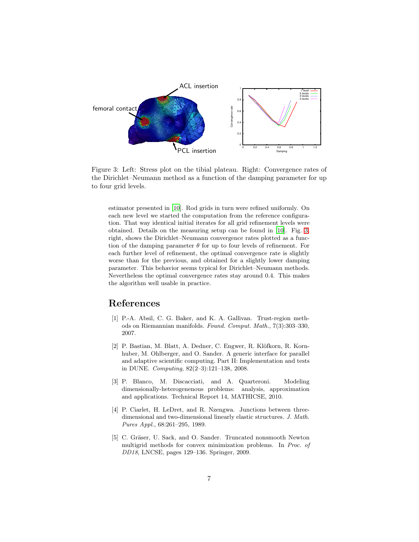

<span id="page-6-5"></span>Figure 3: Left: Stress plot on the tibial plateau. Right: Convergence rates of the Dirichlet–Neumann method as a function of the damping parameter for up to four grid levels.

estimator presented in [\[10\]](#page-7-5). Rod grids in turn were refined uniformly. On each new level we started the computation from the reference configuration. That way identical initial iterates for all grid refinement levels were obtained. Details on the measuring setup can be found in [\[10](#page-7-5)]. Fig. [3,](#page-6-5) right, shows the Dirichlet–Neumann convergence rates plotted as a function of the damping parameter  $\theta$  for up to four levels of refinement. For each further level of refinement, the optimal convergence rate is slightly worse than for the previous, and obtained for a slightly lower damping parameter. This behavior seems typical for Dirichlet–Neumann methods. Nevertheless the optimal convergence rates stay around 0.4. This makes the algorithm well usable in practice.

### References

- <span id="page-6-4"></span>[1] P.-A. Absil, C. G. Baker, and K. A. Gallivan. Trust-region methods on Riemannian manifolds. Found. Comput. Math., 7(3):303–330, 2007.
- <span id="page-6-2"></span>[2] P. Bastian, M. Blatt, A. Dedner, C. Engwer, R. Klöfkorn, R. Kornhuber, M. Ohlberger, and O. Sander. A generic interface for parallel and adaptive scientific computing. Part II: Implementation and tests in DUNE. Computing, 82(2–3):121–138, 2008.
- <span id="page-6-1"></span>[3] P. Blanco, M. Discacciati, and A. Quarteroni. Modeling dimensionally-heterogenenous problems: analysis, approximation and applications. Technical Report 14, MATHICSE, 2010.
- <span id="page-6-0"></span>[4] P. Ciarlet, H. LeDret, and R. Nzengwa. Junctions between threedimensional and two-dimensional linearly elastic structures. J. Math. Pures Appl., 68:261–295, 1989.
- <span id="page-6-3"></span>[5] C. Gräser, U. Sack, and O. Sander. Truncated nonsmooth Newton multigrid methods for convex minimization problems. In Proc. of DD18, LNCSE, pages 129–136. Springer, 2009.